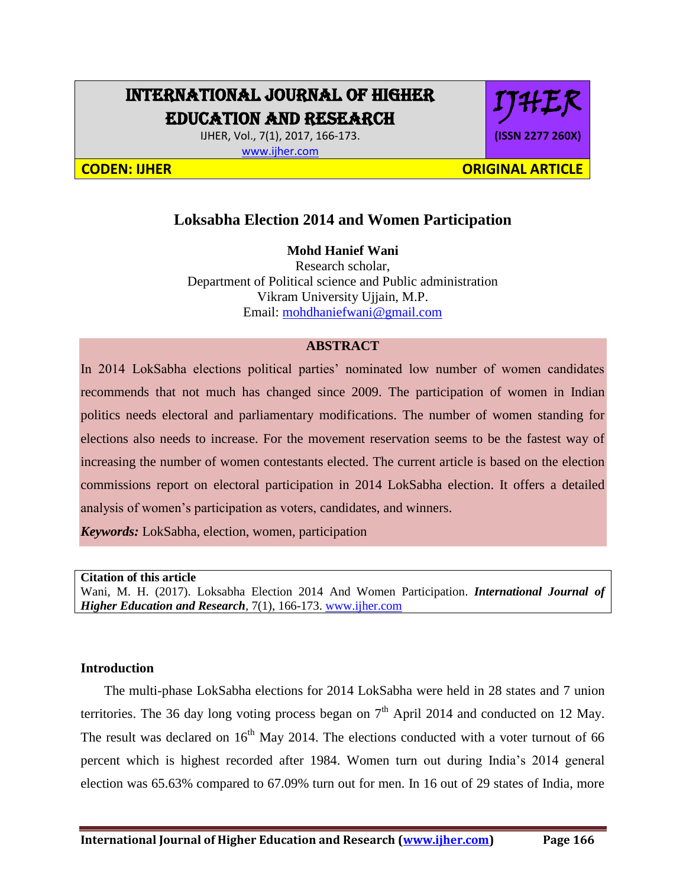## INTERNATIONAL JOURNAL OF HIGHER EDUCATION AND RESEARCH

IJHER, Vol., 7(1), 2017, 166-173. [www.ijher.com](http://www.ijher.com/)

# IJHER **(ISSN 2277 260X)**

**CODEN: IJHER ORIGINAL ARTICLE** 

## **Loksabha Election 2014 and Women Participation**

#### **Mohd Hanief Wani**

Research scholar, Department of Political science and Public administration Vikram University Ujjain, M.P. Email: [mohdhaniefwani@gmail.com](mailto:mohdhaniefwani@gmail.com)

#### **ABSTRACT**

In 2014 LokSabha elections political parties' nominated low number of women candidates recommends that not much has changed since 2009. The participation of women in Indian politics needs electoral and parliamentary modifications. The number of women standing for elections also needs to increase. For the movement reservation seems to be the fastest way of increasing the number of women contestants elected. The current article is based on the election commissions report on electoral participation in 2014 LokSabha election. It offers a detailed analysis of women's participation as voters, candidates, and winners.

*Keywords:* LokSabha, election, women, participation

**Citation of this article**

Wani, M. H. (2017). Loksabha Election 2014 And Women Participation. *International Journal of Higher Education and Research,* 7(1), 166-173. [www.ijher.com](http://www.ijher.com/)

#### **Introduction**

 The multi-phase LokSabha elections for 2014 LokSabha were held in 28 states and 7 union territories. The 36 day long voting process began on  $7<sup>th</sup>$  April 2014 and conducted on 12 May. The result was declared on  $16<sup>th</sup>$  May 2014. The elections conducted with a voter turnout of 66 percent which is highest recorded after 1984. Women turn out during India's 2014 general election was 65.63% compared to 67.09% turn out for men. In 16 out of 29 states of India, more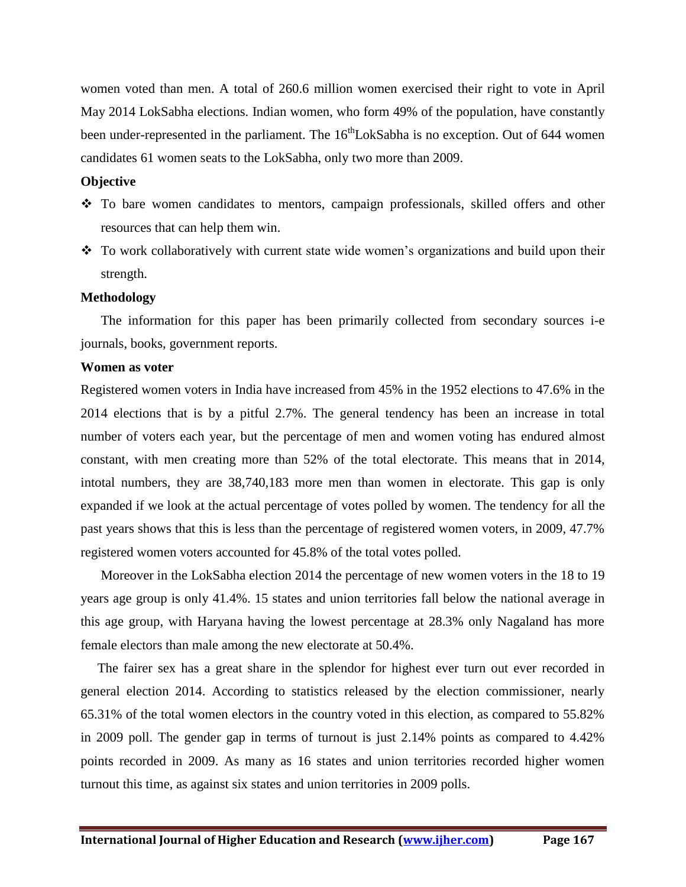women voted than men. A total of 260.6 million women exercised their right to vote in April May 2014 LokSabha elections. Indian women, who form 49% of the population, have constantly been under-represented in the parliament. The 16<sup>th</sup>LokSabha is no exception. Out of 644 women candidates 61 women seats to the LokSabha, only two more than 2009.

#### **Objective**

- To bare women candidates to mentors, campaign professionals, skilled offers and other resources that can help them win.
- To work collaboratively with current state wide women's organizations and build upon their strength.

#### **Methodology**

 The information for this paper has been primarily collected from secondary sources i-e journals, books, government reports.

#### **Women as voter**

Registered women voters in India have increased from 45% in the 1952 elections to 47.6% in the 2014 elections that is by a pitful 2.7%. The general tendency has been an increase in total number of voters each year, but the percentage of men and women voting has endured almost constant, with men creating more than 52% of the total electorate. This means that in 2014, intotal numbers, they are 38,740,183 more men than women in electorate. This gap is only expanded if we look at the actual percentage of votes polled by women. The tendency for all the past years shows that this is less than the percentage of registered women voters, in 2009, 47.7% registered women voters accounted for 45.8% of the total votes polled.

 Moreover in the LokSabha election 2014 the percentage of new women voters in the 18 to 19 years age group is only 41.4%. 15 states and union territories fall below the national average in this age group, with Haryana having the lowest percentage at 28.3% only Nagaland has more female electors than male among the new electorate at 50.4%.

 The fairer sex has a great share in the splendor for highest ever turn out ever recorded in general election 2014. According to statistics released by the election commissioner, nearly 65.31% of the total women electors in the country voted in this election, as compared to 55.82% in 2009 poll. The gender gap in terms of turnout is just 2.14% points as compared to 4.42% points recorded in 2009. As many as 16 states and union territories recorded higher women turnout this time, as against six states and union territories in 2009 polls.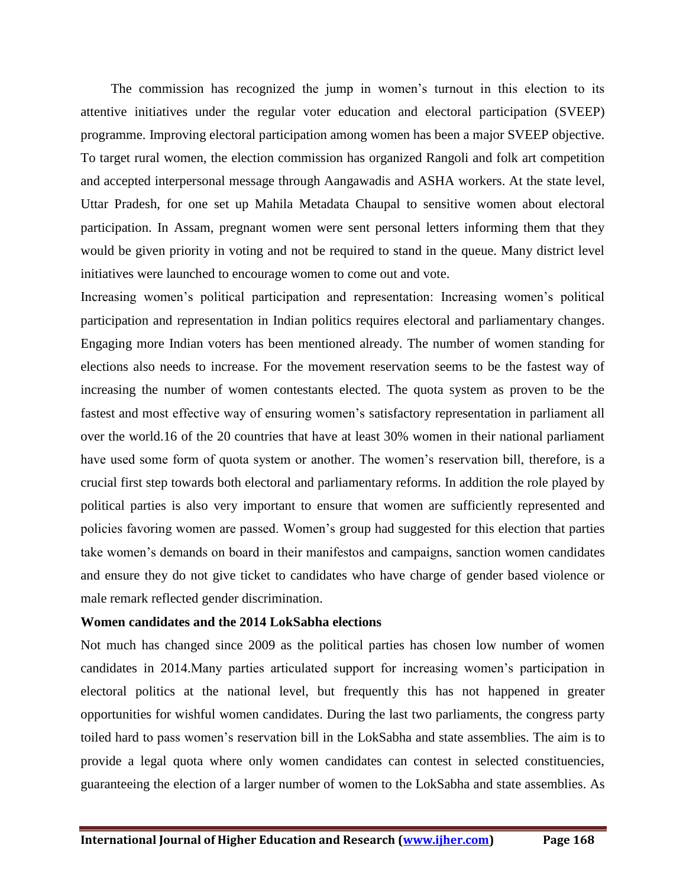The commission has recognized the jump in women's turnout in this election to its attentive initiatives under the regular voter education and electoral participation (SVEEP) programme. Improving electoral participation among women has been a major SVEEP objective. To target rural women, the election commission has organized Rangoli and folk art competition and accepted interpersonal message through Aangawadis and ASHA workers. At the state level, Uttar Pradesh, for one set up Mahila Metadata Chaupal to sensitive women about electoral participation. In Assam, pregnant women were sent personal letters informing them that they would be given priority in voting and not be required to stand in the queue. Many district level initiatives were launched to encourage women to come out and vote.

Increasing women's political participation and representation: Increasing women's political participation and representation in Indian politics requires electoral and parliamentary changes. Engaging more Indian voters has been mentioned already. The number of women standing for elections also needs to increase. For the movement reservation seems to be the fastest way of increasing the number of women contestants elected. The quota system as proven to be the fastest and most effective way of ensuring women's satisfactory representation in parliament all over the world.16 of the 20 countries that have at least 30% women in their national parliament have used some form of quota system or another. The women's reservation bill, therefore, is a crucial first step towards both electoral and parliamentary reforms. In addition the role played by political parties is also very important to ensure that women are sufficiently represented and policies favoring women are passed. Women's group had suggested for this election that parties take women's demands on board in their manifestos and campaigns, sanction women candidates and ensure they do not give ticket to candidates who have charge of gender based violence or male remark reflected gender discrimination.

#### **Women candidates and the 2014 LokSabha elections**

Not much has changed since 2009 as the political parties has chosen low number of women candidates in 2014.Many parties articulated support for increasing women's participation in electoral politics at the national level, but frequently this has not happened in greater opportunities for wishful women candidates. During the last two parliaments, the congress party toiled hard to pass women's reservation bill in the LokSabha and state assemblies. The aim is to provide a legal quota where only women candidates can contest in selected constituencies, guaranteeing the election of a larger number of women to the LokSabha and state assemblies. As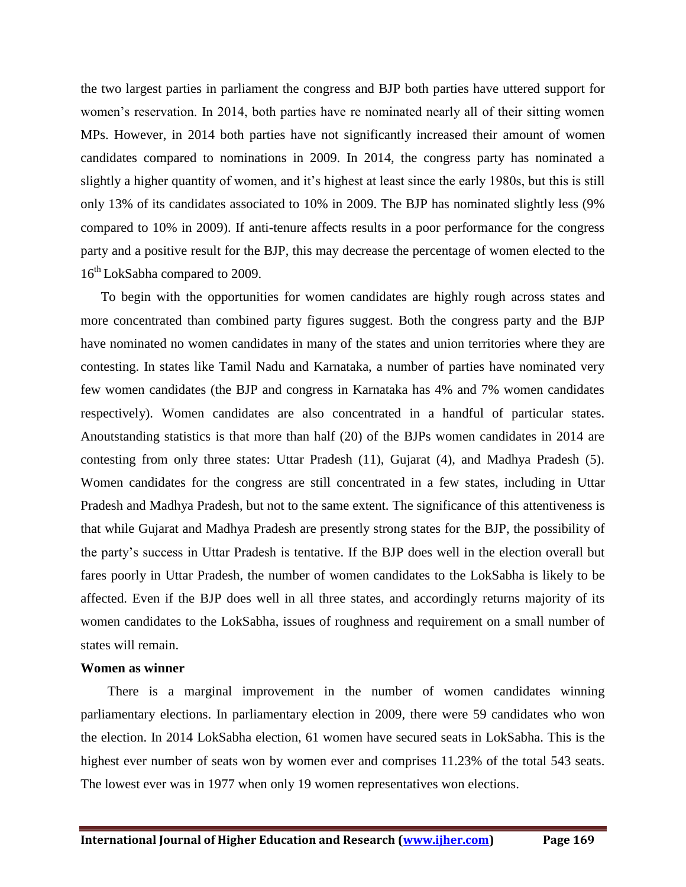the two largest parties in parliament the congress and BJP both parties have uttered support for women's reservation. In 2014, both parties have re nominated nearly all of their sitting women MPs. However, in 2014 both parties have not significantly increased their amount of women candidates compared to nominations in 2009. In 2014, the congress party has nominated a slightly a higher quantity of women, and it's highest at least since the early 1980s, but this is still only 13% of its candidates associated to 10% in 2009. The BJP has nominated slightly less (9% compared to 10% in 2009). If anti-tenure affects results in a poor performance for the congress party and a positive result for the BJP, this may decrease the percentage of women elected to the 16<sup>th</sup> LokSabha compared to 2009.

 To begin with the opportunities for women candidates are highly rough across states and more concentrated than combined party figures suggest. Both the congress party and the BJP have nominated no women candidates in many of the states and union territories where they are contesting. In states like Tamil Nadu and Karnataka, a number of parties have nominated very few women candidates (the BJP and congress in Karnataka has 4% and 7% women candidates respectively). Women candidates are also concentrated in a handful of particular states. Anoutstanding statistics is that more than half (20) of the BJPs women candidates in 2014 are contesting from only three states: Uttar Pradesh (11), Gujarat (4), and Madhya Pradesh (5). Women candidates for the congress are still concentrated in a few states, including in Uttar Pradesh and Madhya Pradesh, but not to the same extent. The significance of this attentiveness is that while Gujarat and Madhya Pradesh are presently strong states for the BJP, the possibility of the party's success in Uttar Pradesh is tentative. If the BJP does well in the election overall but fares poorly in Uttar Pradesh, the number of women candidates to the LokSabha is likely to be affected. Even if the BJP does well in all three states, and accordingly returns majority of its women candidates to the LokSabha, issues of roughness and requirement on a small number of states will remain.

#### **Women as winner**

 There is a marginal improvement in the number of women candidates winning parliamentary elections. In parliamentary election in 2009, there were 59 candidates who won the election. In 2014 LokSabha election, 61 women have secured seats in LokSabha. This is the highest ever number of seats won by women ever and comprises 11.23% of the total 543 seats. The lowest ever was in 1977 when only 19 women representatives won elections.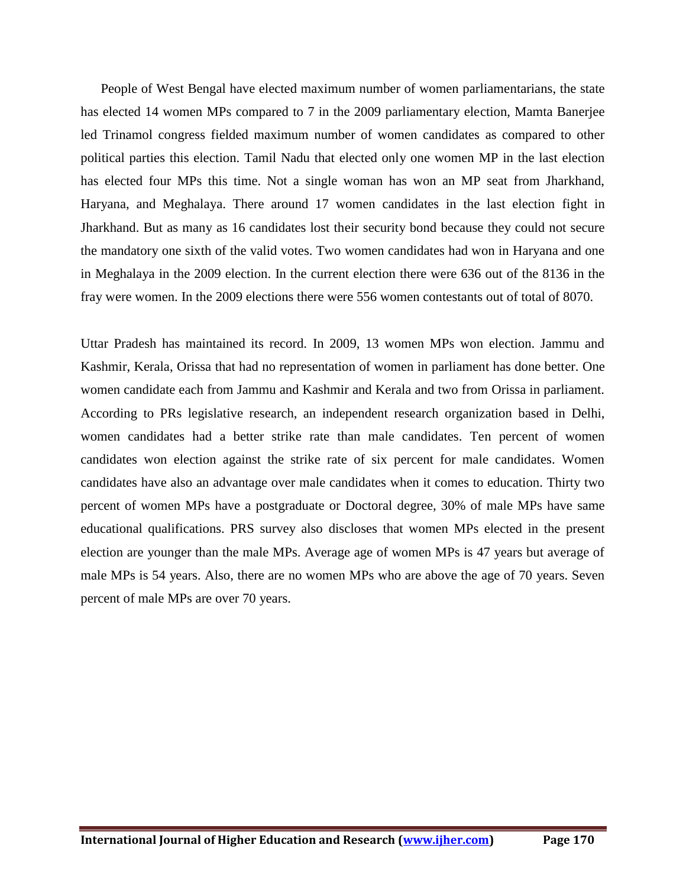People of West Bengal have elected maximum number of women parliamentarians, the state has elected 14 women MPs compared to 7 in the 2009 parliamentary election, Mamta Banerjee led Trinamol congress fielded maximum number of women candidates as compared to other political parties this election. Tamil Nadu that elected only one women MP in the last election has elected four MPs this time. Not a single woman has won an MP seat from Jharkhand, Haryana, and Meghalaya. There around 17 women candidates in the last election fight in Jharkhand. But as many as 16 candidates lost their security bond because they could not secure the mandatory one sixth of the valid votes. Two women candidates had won in Haryana and one in Meghalaya in the 2009 election. In the current election there were 636 out of the 8136 in the fray were women. In the 2009 elections there were 556 women contestants out of total of 8070.

Uttar Pradesh has maintained its record. In 2009, 13 women MPs won election. Jammu and Kashmir, Kerala, Orissa that had no representation of women in parliament has done better. One women candidate each from Jammu and Kashmir and Kerala and two from Orissa in parliament. According to PRs legislative research, an independent research organization based in Delhi, women candidates had a better strike rate than male candidates. Ten percent of women candidates won election against the strike rate of six percent for male candidates. Women candidates have also an advantage over male candidates when it comes to education. Thirty two percent of women MPs have a postgraduate or Doctoral degree, 30% of male MPs have same educational qualifications. PRS survey also discloses that women MPs elected in the present election are younger than the male MPs. Average age of women MPs is 47 years but average of male MPs is 54 years. Also, there are no women MPs who are above the age of 70 years. Seven percent of male MPs are over 70 years.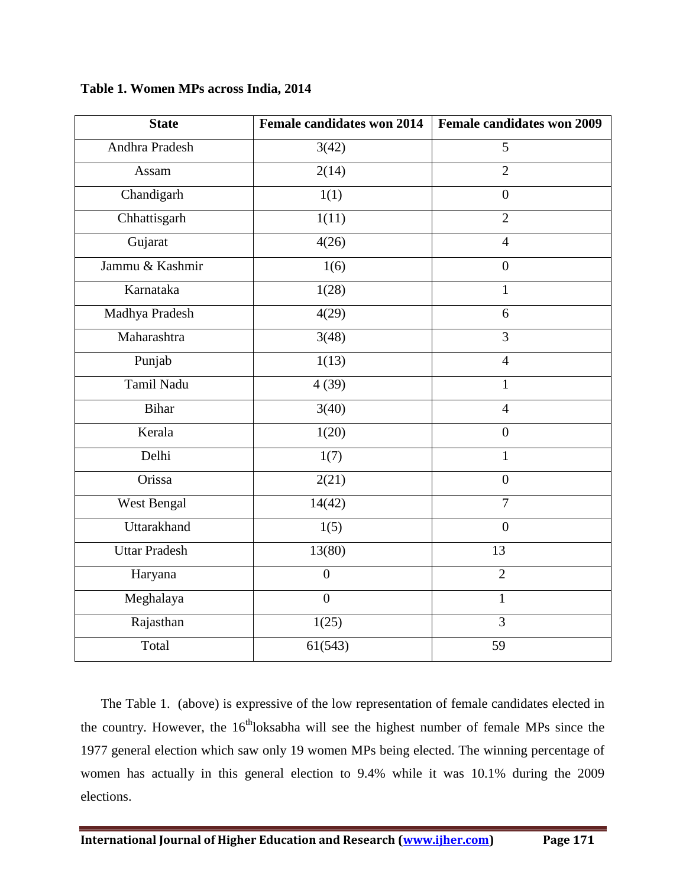| <b>State</b>         | <b>Female candidates won 2014</b> | Female candidates won 2009 |
|----------------------|-----------------------------------|----------------------------|
| Andhra Pradesh       | 3(42)                             | 5                          |
| Assam                | $\overline{2(14)}$                | $\overline{2}$             |
| Chandigarh           | 1(1)                              | $\boldsymbol{0}$           |
| Chhattisgarh         | 1(11)                             | $\overline{2}$             |
| Gujarat              | 4(26)                             | $\overline{4}$             |
| Jammu & Kashmir      | 1(6)                              | $\boldsymbol{0}$           |
| Karnataka            | 1(28)                             | $\mathbf{1}$               |
| Madhya Pradesh       | 4(29)                             | 6                          |
| Maharashtra          | 3(48)                             | $\overline{3}$             |
| Punjab               | 1(13)                             | $\overline{4}$             |
| Tamil Nadu           | 4(39)                             | $\mathbf{1}$               |
| <b>Bihar</b>         | 3(40)                             | $\overline{4}$             |
| Kerala               | 1(20)                             | $\overline{0}$             |
| Delhi                | 1(7)                              | $\mathbf{1}$               |
| Orissa               | 2(21)                             | $\overline{0}$             |
| West Bengal          | 14(42)                            | $\overline{7}$             |
| Uttarakhand          | 1(5)                              | $\overline{0}$             |
| <b>Uttar Pradesh</b> | 13(80)                            | 13                         |
| Haryana              | $\overline{0}$                    | $\overline{2}$             |
| Meghalaya            | $\boldsymbol{0}$                  | $\mathbf{1}$               |
| Rajasthan            | 1(25)                             | $\overline{3}$             |
| Total                | 61(543)                           | 59                         |

**Table 1. Women MPs across India, 2014**

 The Table 1. (above) is expressive of the low representation of female candidates elected in the country. However, the  $16<sup>th</sup>$ loksabha will see the highest number of female MPs since the 1977 general election which saw only 19 women MPs being elected. The winning percentage of women has actually in this general election to 9.4% while it was 10.1% during the 2009 elections.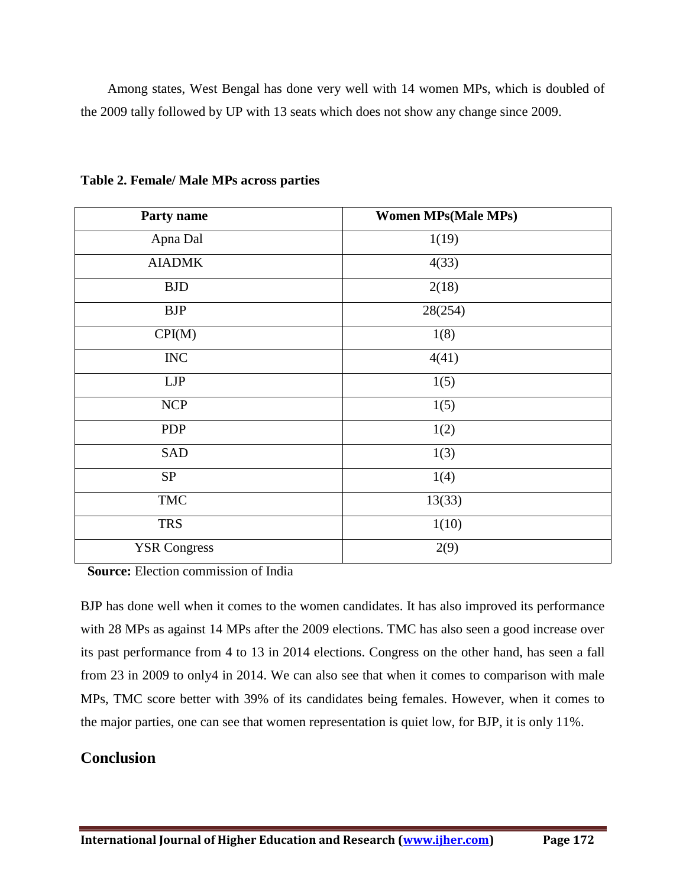Among states, West Bengal has done very well with 14 women MPs, which is doubled of the 2009 tally followed by UP with 13 seats which does not show any change since 2009.

| Party name          | <b>Women MPs(Male MPs)</b> |  |
|---------------------|----------------------------|--|
| Apna Dal            | 1(19)                      |  |
| <b>AIADMK</b>       | 4(33)                      |  |
| <b>BJD</b>          | 2(18)                      |  |
| <b>BJP</b>          | 28(254)                    |  |
| CPI(M)              | 1(8)                       |  |
| $\rm{INC}$          | 4(41)                      |  |
| LJP                 | 1(5)                       |  |
| <b>NCP</b>          | 1(5)                       |  |
| <b>PDP</b>          | 1(2)                       |  |
| SAD                 | 1(3)                       |  |
| <b>SP</b>           | 1(4)                       |  |
| <b>TMC</b>          | 13(33)                     |  |
| <b>TRS</b>          | 1(10)                      |  |
| <b>YSR Congress</b> | 2(9)                       |  |

**Table 2. Female/ Male MPs across parties**

**Source:** Election commission of India

BJP has done well when it comes to the women candidates. It has also improved its performance with 28 MPs as against 14 MPs after the 2009 elections. TMC has also seen a good increase over its past performance from 4 to 13 in 2014 elections. Congress on the other hand, has seen a fall from 23 in 2009 to only4 in 2014. We can also see that when it comes to comparison with male MPs, TMC score better with 39% of its candidates being females. However, when it comes to the major parties, one can see that women representation is quiet low, for BJP, it is only 11%.

### **Conclusion**